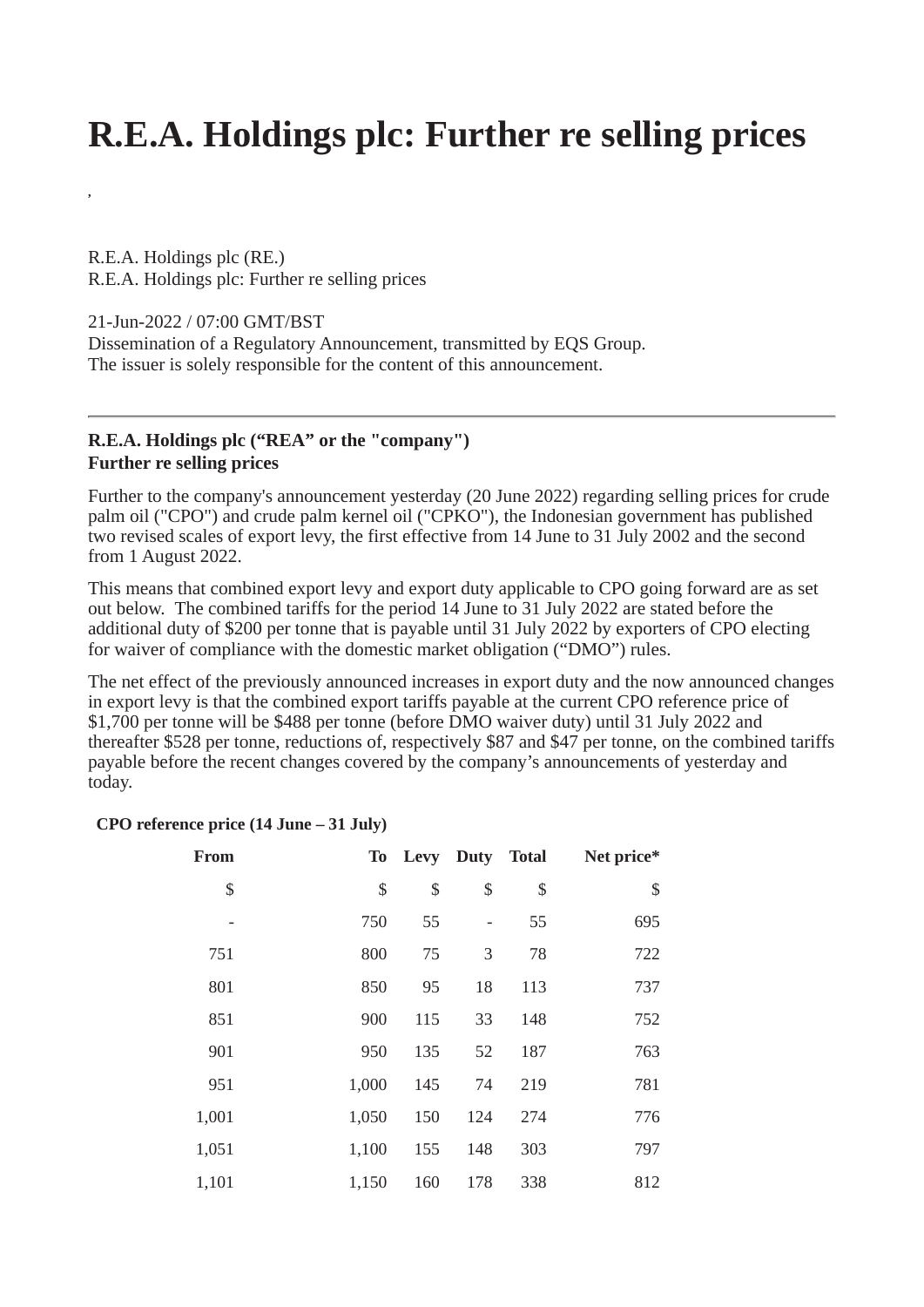## **R.E.A. Holdings plc: Further re selling prices**

R.E.A. Holdings plc (RE.) R.E.A. Holdings plc: Further re selling prices

21-Jun-2022 / 07:00 GMT/BST

**,**

Dissemination of a Regulatory Announcement, transmitted by EQS Group. The issuer is solely responsible for the content of this announcement.

## **R.E.A. Holdings plc ("REA" or the "company") Further re selling prices**

Further to the company's announcement yesterday (20 June 2022) regarding selling prices for crude palm oil ("CPO") and crude palm kernel oil ("CPKO"), the Indonesian government has published two revised scales of export levy, the first effective from 14 June to 31 July 2002 and the second from 1 August 2022.

This means that combined export levy and export duty applicable to CPO going forward are as set out below. The combined tariffs for the period 14 June to 31 July 2022 are stated before the additional duty of \$200 per tonne that is payable until 31 July 2022 by exporters of CPO electing for waiver of compliance with the domestic market obligation ("DMO") rules.

The net effect of the previously announced increases in export duty and the now announced changes in export levy is that the combined export tariffs payable at the current CPO reference price of \$1,700 per tonne will be \$488 per tonne (before DMO waiver duty) until 31 July 2022 and thereafter \$528 per tonne, reductions of, respectively \$87 and \$47 per tonne, on the combined tariffs payable before the recent changes covered by the company's announcements of yesterday and today.

## **CPO reference price (14 June – 31 July)**

| From  | <b>To</b> |     | Levy Duty Total |     | Net price* |
|-------|-----------|-----|-----------------|-----|------------|
| \$    | \$        | \$  | \$              | \$  | \$         |
| -     | 750       | 55  |                 | 55  | 695        |
| 751   | 800       | 75  | 3               | 78  | 722        |
| 801   | 850       | 95  | 18              | 113 | 737        |
| 851   | 900       | 115 | 33              | 148 | 752        |
| 901   | 950       | 135 | 52              | 187 | 763        |
| 951   | 1,000     | 145 | 74              | 219 | 781        |
| 1,001 | 1,050     | 150 | 124             | 274 | 776        |
| 1,051 | 1,100     | 155 | 148             | 303 | 797        |
| 1,101 | 1,150     | 160 | 178             | 338 | 812        |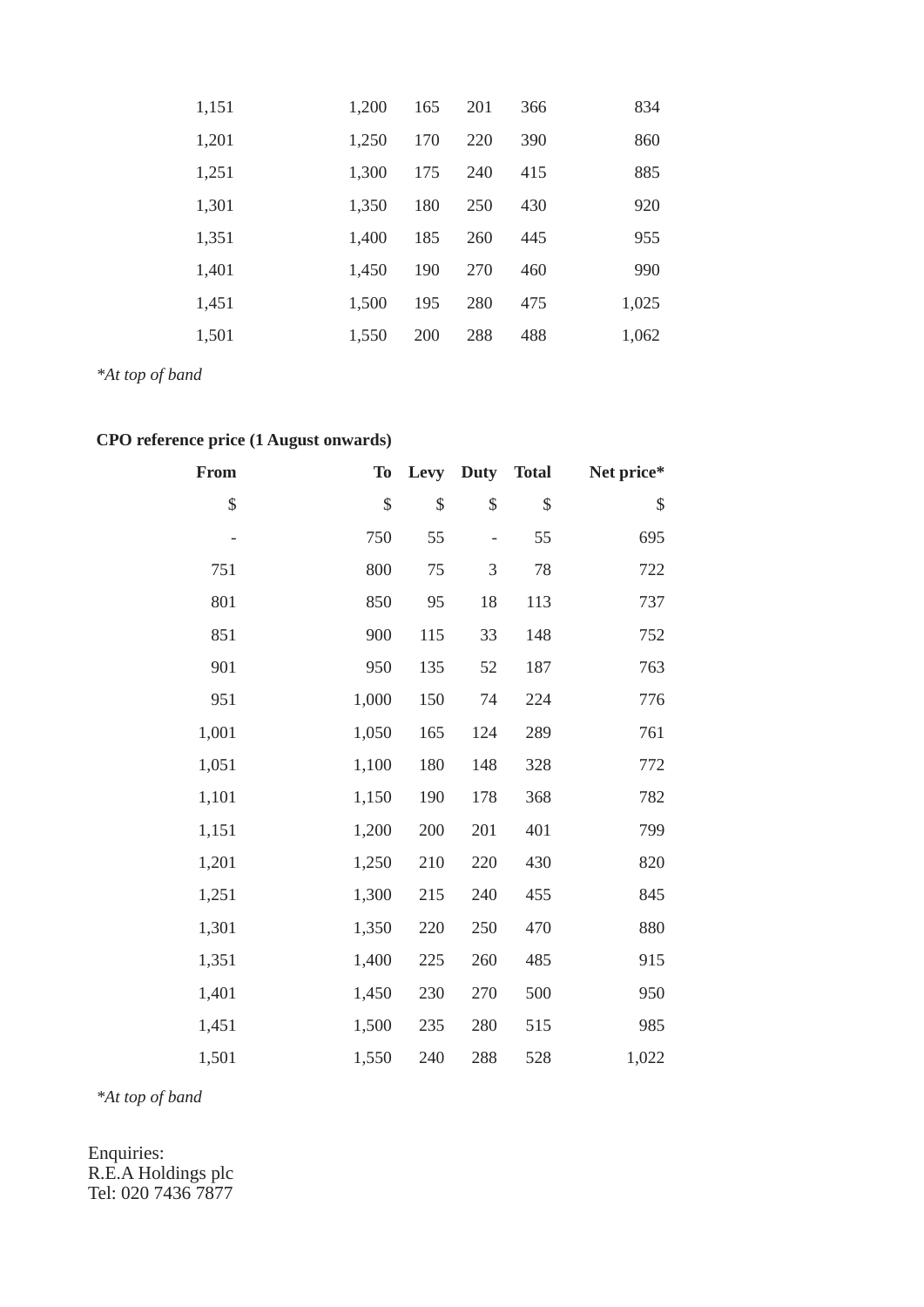| 1,151 | 1,200 | 165 | 201 | 366 | 834   |
|-------|-------|-----|-----|-----|-------|
| 1,201 | 1,250 | 170 | 220 | 390 | 860   |
| 1,251 | 1,300 | 175 | 240 | 415 | 885   |
| 1,301 | 1,350 | 180 | 250 | 430 | 920   |
| 1,351 | 1,400 | 185 | 260 | 445 | 955   |
| 1,401 | 1,450 | 190 | 270 | 460 | 990   |
| 1,451 | 1,500 | 195 | 280 | 475 | 1,025 |
| 1,501 | 1,550 | 200 | 288 | 488 | 1,062 |

*\*At top of band*

## **CPO reference price (1 August onwards)**

| <b>From</b> | <b>To</b> | Levy | <b>Duty</b> | <b>Total</b> | Net price* |
|-------------|-----------|------|-------------|--------------|------------|
| \$          | \$        | \$   | \$          | \$           | \$         |
|             | 750       | 55   |             | 55           | 695        |
| 751         | 800       | 75   | 3           | 78           | 722        |
| 801         | 850       | 95   | 18          | 113          | 737        |
| 851         | 900       | 115  | 33          | 148          | 752        |
| 901         | 950       | 135  | 52          | 187          | 763        |
| 951         | 1,000     | 150  | 74          | 224          | 776        |
| 1,001       | 1,050     | 165  | 124         | 289          | 761        |
| 1,051       | 1,100     | 180  | 148         | 328          | 772        |
| 1,101       | 1,150     | 190  | 178         | 368          | 782        |
| 1,151       | 1,200     | 200  | 201         | 401          | 799        |
| 1,201       | 1,250     | 210  | 220         | 430          | 820        |
| 1,251       | 1,300     | 215  | 240         | 455          | 845        |
| 1,301       | 1,350     | 220  | 250         | 470          | 880        |
| 1,351       | 1,400     | 225  | 260         | 485          | 915        |
| 1,401       | 1,450     | 230  | 270         | 500          | 950        |
| 1,451       | 1,500     | 235  | 280         | 515          | 985        |
| 1,501       | 1,550     | 240  | 288         | 528          | 1,022      |

*\*At top of band*

Enquiries: R.E.A Holdings plc Tel: 020 7436 7877